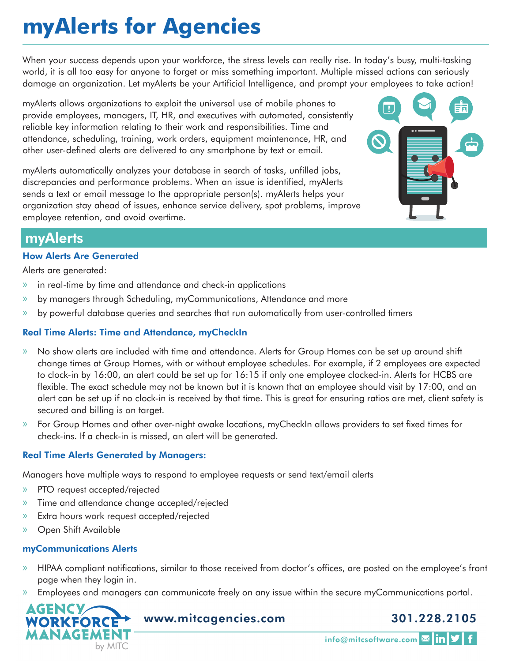# **myAlerts for Agencies**

When your success depends upon your workforce, the stress levels can really rise. In today's busy, multi-tasking world, it is all too easy for anyone to forget or miss something important. Multiple missed actions can seriously damage an organization. Let myAlerts be your Artificial Intelligence, and prompt your employees to take action!

myAlerts allows organizations to exploit the universal use of mobile phones to provide employees, managers, IT, HR, and executives with automated, consistently reliable key information relating to their work and responsibilities. Time and attendance, scheduling, training, work orders, equipment maintenance, HR, and other user-defined alerts are delivered to any smartphone by text or email.

myAlerts automatically analyzes your database in search of tasks, unfilled jobs, discrepancies and performance problems. When an issue is identified, myAlerts sends a text or email message to the appropriate person(s). myAlerts helps your organization stay ahead of issues, enhance service delivery, spot problems, improve employee retention, and avoid overtime.



## myAlerts

#### How Alerts Are Generated

Alerts are generated:

- » in real-time by time and attendance and check-in applications
- » by managers through Scheduling, myCommunications, Attendance and more
- » by powerful database queries and searches that run automatically from user-controlled timers

### Real Time Alerts: Time and Attendance, myCheckIn

- » No show alerts are included with time and attendance. Alerts for Group Homes can be set up around shift change times at Group Homes, with or without employee schedules. For example, if 2 employees are expected to clock-in by 16:00, an alert could be set up for 16:15 if only one employee clocked-in. Alerts for HCBS are flexible. The exact schedule may not be known but it is known that an employee should visit by 17:00, and an alert can be set up if no clock-in is received by that time. This is great for ensuring ratios are met, client safety is secured and billing is on target.
- » For Group Homes and other over-night awake locations, myCheckIn allows providers to set fixed times for check-ins. If a check-in is missed, an alert will be generated.

#### Real Time Alerts Generated by Managers:

Managers have multiple ways to respond to employee requests or send text/email alerts

- » PTO request accepted/rejected
- » Time and attendance change accepted/rejected
- » Extra hours work request accepted/rejected
- » Open Shift Available

#### myCommunications Alerts

- » HIPAA compliant notifications, similar to those received from doctor's offices, are posted on the employee's front page when they login in.
- » Employees and managers can communicate freely on any issue within the secure myCommunications portal.



www.mitcagencies.com

## 301.228.2105

info@mitcsoftware.com Min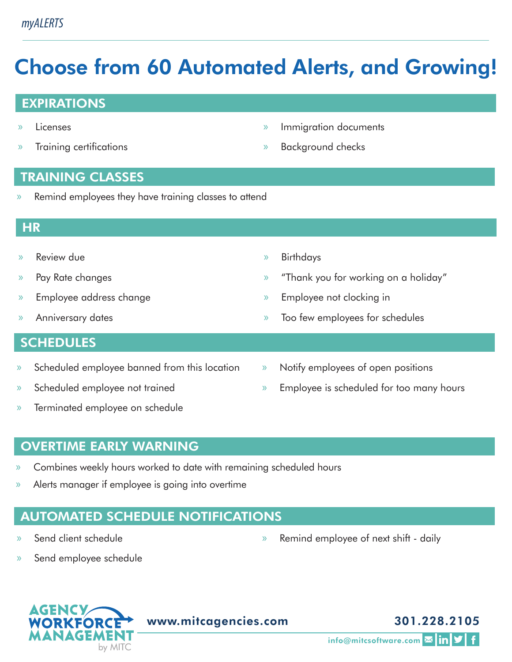# Choose from 60 Automated Alerts, and Growing!

## EXPIRATIONS

- » Licenses
- » Training certifications

» Immigration documents

» Background checks

- TRAINING CLASSES
- » Remind employees they have training classes to attend

## **HR**

- » Review due
- » Pay Rate changes
- » Employee address change
- » Anniversary dates

## **SCHEDULES**

- » Scheduled employee banned from this location
- » Scheduled employee not trained
- » Terminated employee on schedule
- » Birthdays
- » "Thank you for working on a holiday"
- » Employee not clocking in
- » Too few employees for schedules
- » Notify employees of open positions
- » Employee is scheduled for too many hours

# OVERTIME EARLY WARNING

- » Combines weekly hours worked to date with remaining scheduled hours
- » Alerts manager if employee is going into overtime

# AUTOMATED SCHEDULE NOTIFICATIONS

» Send client schedule

» Remind employee of next shift - daily

» Send employee schedule



www.mitcagencies.com

info@mitcsoftware.com **x** in y

301.228.2105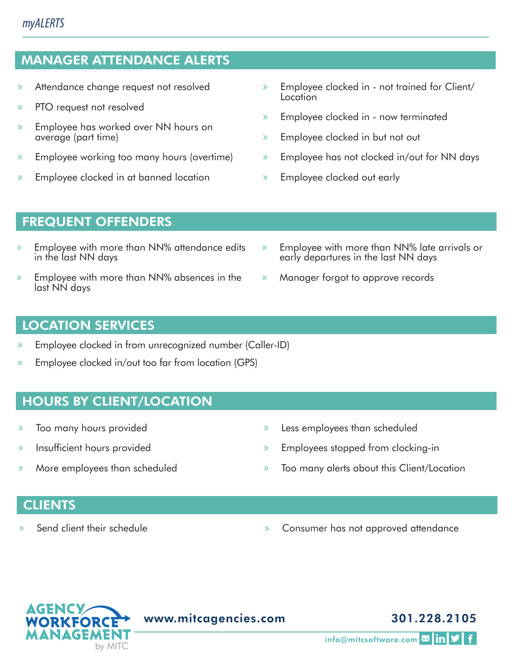# *myALERTS*

# MANAGER ATTENDANCE ALERTS

- » Attendance change request not resolved
- » PTO request not resolved
- » Employee has worked over NN hours on average (part time)
- » Employee working too many hours (overtime)
- » Employee clocked in at banned location
- » Employee clocked in not trained for Client/ **Location**
- » Employee clocked in now terminated
- » Employee clocked in but not out
- » Employee has not clocked in/out for NN days
- » Employee clocked out early

# FREQUENT OFFENDERS

- » Employee with more than NN% attendance edits in the last NN days
- » Employee with more than NN% absences in the last NN days
- » Employee with more than NN% late arrivals or early departures in the last NN days
- » Manager forgot to approve records

# LOCATION SERVICES

- » Employee clocked in from unrecognized number (Caller-ID)
- » Employee clocked in/out too far from location (GPS)

# HOURS BY CLIENT/LOCATION

- » Too many hours provided
- » Insufficient hours provided
- » More employees than scheduled
- » Less employees than scheduled
- » Employees stopped from clocking-in
- » Too many alerts about this Client/Location

## **CLIENTS**

- 
- » Send client their schedule » Consumer has not approved attendance



# 301.228.2105

info@mitcsoftware.com Min V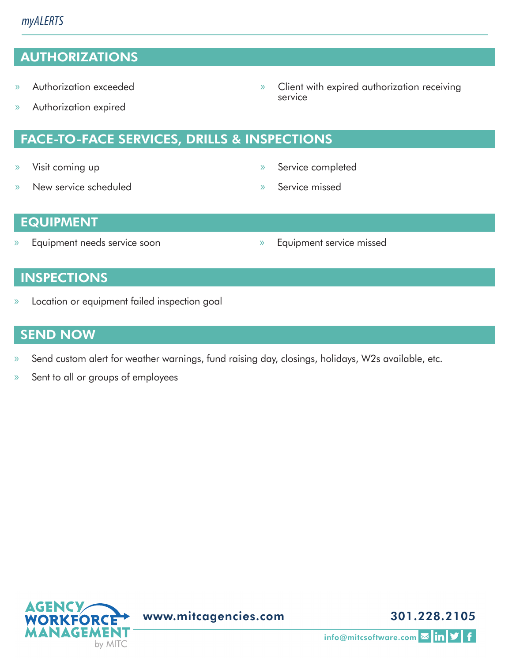# AUTHORIZATIONS

- » Authorization exceeded
- » Authorization expired
	- FACE-TO-FACE SERVICES, DRILLS & INSPECTIONS
- » Visit coming up
- » New service scheduled

» Service completed

» Client with expired authorization receiving

» Service missed

service

## EQUIPMENT

- » Equipment needs service soon » Equipment service missed
	-

## **INSPECTIONS**

» Location or equipment failed inspection goal

## SEND NOW

- » Send custom alert for weather warnings, fund raising day, closings, holidays, W2s available, etc.
- » Sent to all or groups of employees



www.mitcagencies.com

301.228.2105

info@mitcsoftware.com **Min y**